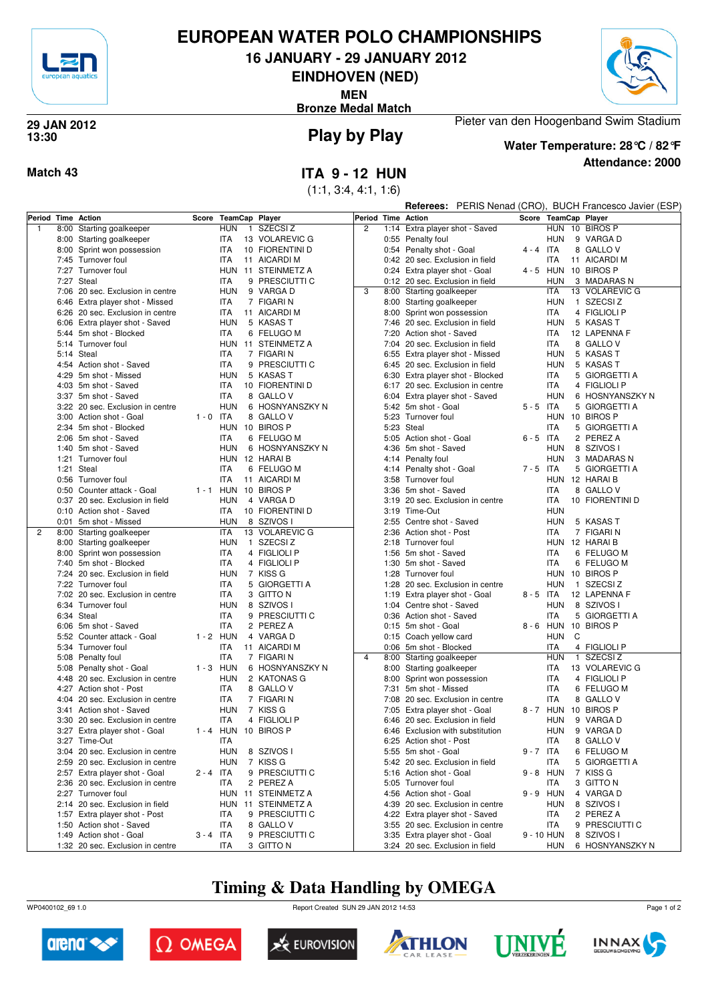

## **EUROPEAN WATER POLO CHAMPIONSHIPS**

**16 JANUARY - 29 JANUARY 2012**

**EINDHOVEN (NED)**

**MEN**

**Bronze Medal Match**



#### **Play by Play 29 JAN 2012 13:30**



Pieter van den Hoogenband Swim Stadium **Water Temperature: 28°C / 82°F**

**Attendance: 2000**

### **Match 43 ITA 9 - 12 HUN**

(1:1, 3:4, 4:1, 1:6)

|              |                                         |             |            |              |                           |                |      | <b>Referees:</b> PERIS Nenad (CRO), BUCH Francesco Javier (ESP) |       |             |   |                           |  |  |
|--------------|-----------------------------------------|-------------|------------|--------------|---------------------------|----------------|------|-----------------------------------------------------------------|-------|-------------|---|---------------------------|--|--|
|              | Period Time Action                      | Score       |            |              | <b>TeamCap Player</b>     |                |      | Period Time Action                                              |       |             |   | Score TeamCap Player      |  |  |
| $\mathbf{1}$ | 8:00 Starting goalkeeper                |             | <b>HUN</b> | $\mathbf{1}$ | SZECSI Z                  | $\overline{2}$ | 1:14 | Extra player shot - Saved                                       |       |             |   | HUN 10 BIROS P            |  |  |
|              | 8:00 Starting goalkeeper                |             | ITA        |              | 13 VOLAREVIC G            |                |      | 0:55 Penalty foul                                               |       | <b>HUN</b>  |   | 9 VARGA D                 |  |  |
|              | 8:00 Sprint won possession              |             | ITA        |              | 10 FIORENTINI D           |                |      | 0:54 Penalty shot - Goal                                        |       | $4 - 4$ ITA |   | 8 GALLO V                 |  |  |
|              | 7:45 Turnover foul                      |             | <b>ITA</b> |              | 11 AICARDI M              |                |      | 0:42 20 sec. Exclusion in field                                 |       | ITA         |   | 11 AICARDI M              |  |  |
|              | 7:27 Turnover foul                      |             |            |              | HUN 11 STEINMETZ A        |                |      | 0:24 Extra player shot - Goal                                   |       |             |   | 4 - 5 HUN 10 BIROS P      |  |  |
|              | 7:27 Steal                              |             | ITA        |              | 9 PRESCIUTTI C            |                |      | 0:12 20 sec. Exclusion in field                                 |       | HUN         |   | 3 MADARAS N               |  |  |
|              | 7:06 20 sec. Exclusion in centre        |             | <b>HUN</b> |              | 9 VARGA D                 | 3              |      | 8:00 Starting goalkeeper                                        |       | ITA         |   | 13 VOLAREVIC G            |  |  |
|              | 6:46 Extra player shot - Missed         |             | <b>ITA</b> |              | 7 FIGARI N                |                |      | 8:00 Starting goalkeeper                                        |       | <b>HUN</b>  |   | 1 SZECSIZ                 |  |  |
|              | 6:26 20 sec. Exclusion in centre        |             | <b>ITA</b> |              | 11 AICARDI M              |                | 8:00 | Sprint won possession                                           |       | ITA         |   | 4 FIGLIOLI P              |  |  |
|              | 6:06 Extra player shot - Saved          |             | <b>HUN</b> |              | 5 KASAS T                 |                |      | 7:46 20 sec. Exclusion in field                                 |       | <b>HUN</b>  |   | 5 KASAS T                 |  |  |
|              | 5:44 5m shot - Blocked                  |             | <b>ITA</b> |              | 6 FELUGO M                |                | 7:20 | Action shot - Saved                                             |       | ITA         |   | 12 LAPENNA F              |  |  |
|              | 5:14 Turnover foul                      |             |            |              | HUN 11 STEINMETZ A        |                |      | 7:04 20 sec. Exclusion in field                                 |       | ITA         |   | 8 GALLO V                 |  |  |
|              | 5:14 Steal                              |             | <b>ITA</b> |              | 7 FIGARI N                |                |      | 6:55 Extra player shot - Missed                                 |       | HUN         |   | 5 KASAS T                 |  |  |
|              | 4:54 Action shot - Saved                |             | ITA        |              | 9 PRESCIUTTI C            |                |      | 6:45 20 sec. Exclusion in field                                 |       | <b>HUN</b>  |   | 5 KASAS T                 |  |  |
|              | 4:29 5m shot - Missed                   |             | <b>HUN</b> |              | 5 KASAS T                 |                | 6:30 | Extra player shot - Blocked                                     |       | <b>ITA</b>  |   | 5 GIORGETTI A             |  |  |
|              | 4:03 5m shot - Saved                    |             | ITA        |              | 10 FIORENTINI D           |                |      | 6:17 20 sec. Exclusion in centre                                |       | ITA         |   | 4 FIGLIOLI P              |  |  |
|              | 3:37 5m shot - Saved                    |             | <b>ITA</b> |              | 8 GALLO V                 |                | 6:04 | Extra player shot - Saved                                       |       | <b>HUN</b>  |   | 6 HOSNYANSZKY N           |  |  |
|              | 3:22 20 sec. Exclusion in centre        |             | <b>HUN</b> |              | 6 HOSNYANSZKY N           |                |      | 5:42 5m shot - Goal                                             |       | $5 - 5$ ITA |   | 5 GIORGETTI A             |  |  |
|              | 3:00 Action shot - Goal                 | $1 - 0$ ITA |            |              | 8 GALLO V                 |                |      | 5:23 Turnover foul                                              |       |             |   | HUN 10 BIROS P            |  |  |
|              | 2:34 5m shot - Blocked                  |             |            |              | HUN 10 BIROS P            |                |      | 5:23 Steal                                                      |       | ITA         |   | 5 GIORGETTI A             |  |  |
|              | 2:06 5m shot - Saved                    |             | ITA        |              | 6 FELUGO M                |                |      | 5:05 Action shot - Goal                                         |       | $6 - 5$ ITA |   | 2 PEREZ A                 |  |  |
|              | 1:40 5m shot - Saved                    |             | <b>HUN</b> |              | 6 HOSNYANSZKY N           |                |      | 4:36 5m shot - Saved                                            |       | <b>HUN</b>  |   | 8 SZIVOS I                |  |  |
|              | 1:21 Turnover foul                      |             |            |              | HUN 12 HARAI B            |                |      | 4:14 Penalty foul                                               |       | <b>HUN</b>  |   | 3 MADARAS N               |  |  |
|              | 1:21 Steal                              |             | <b>ITA</b> |              | 6 FELUGO M                |                |      | 4:14 Penalty shot - Goal                                        |       | $7 - 5$ ITA |   | 5 GIORGETTI A             |  |  |
|              | 0:56 Turnover foul                      |             | ITA        |              | 11 AICARDI M              |                |      | 3:58 Turnover foul                                              |       |             |   | HUN 12 HARAI B            |  |  |
|              | 0:50 Counter attack - Goal              |             |            |              | 1 - 1 HUN 10 BIROS P      |                |      | 3:36 5m shot - Saved                                            |       | ITA         |   | 8 GALLO V                 |  |  |
|              | 0:37 20 sec. Exclusion in field         |             | <b>HUN</b> |              | 4 VARGA D                 |                |      | 3:19 20 sec. Exclusion in centre                                |       | ITA         |   | 10 FIORENTINI D           |  |  |
|              | 0:10 Action shot - Saved                |             | ITA        |              | 10 FIORENTINI D           |                |      | 3:19 Time-Out                                                   |       | <b>HUN</b>  |   |                           |  |  |
|              | 0:01 5m shot - Missed                   |             | <b>HUN</b> |              | 8 SZIVOS I                |                |      | 2:55 Centre shot - Saved                                        |       | <b>HUN</b>  |   | 5 KASAS T                 |  |  |
| 2            | 8:00 Starting goalkeeper                |             | ITA        |              | 13 VOLAREVIC G            |                |      | 2:36 Action shot - Post                                         |       | ITA         |   | 7 FIGARI N                |  |  |
|              | 8:00 Starting goalkeeper                |             | <b>HUN</b> |              | 1 SZECSIZ                 |                |      | 2:18 Turnover foul                                              |       |             |   | HUN 12 HARAIB             |  |  |
|              | 8:00 Sprint won possession              |             | <b>ITA</b> |              | 4 FIGLIOLI P              |                | 1:56 | 5m shot - Saved                                                 |       | ITA         |   | 6 FELUGO M                |  |  |
|              | 7:40 5m shot - Blocked                  |             | ITA        |              | 4 FIGLIOLI P              |                |      | 1:30 5m shot - Saved                                            |       | ITA         |   | 6 FELUGO M                |  |  |
|              | 7:24 20 sec. Exclusion in field         |             | <b>HUN</b> |              | 7 KISS G                  |                |      | 1:28 Turnover foul                                              |       |             |   | HUN 10 BIROS P            |  |  |
|              | 7:22 Turnover foul                      |             | <b>ITA</b> |              | 5 GIORGETTI A             |                |      | 1:28 20 sec. Exclusion in centre                                |       | <b>HUN</b>  |   | 1 SZECSIZ                 |  |  |
|              | 7:02 20 sec. Exclusion in centre        |             | <b>ITA</b> |              | 3 GITTO N                 |                |      | 1:19 Extra player shot - Goal                                   |       | $8 - 5$ ITA |   | 12 LAPENNA F              |  |  |
|              | 6:34 Turnover foul                      |             | <b>HUN</b> |              | 8 SZIVOS I                |                |      | 1:04 Centre shot - Saved                                        |       | HUN         |   | 8 SZIVOS I                |  |  |
|              | 6:34 Steal                              |             | <b>ITA</b> |              | 9 PRESCIUTTI C            |                |      | 0:36 Action shot - Saved                                        |       | ITA         |   | 5 GIORGETTI A             |  |  |
|              | 6:06 5m shot - Saved                    |             | <b>ITA</b> |              | 2 PEREZ A                 |                |      | 0:15 5m shot - Goal                                             | 8 - 6 |             |   | HUN 10 BIROS P            |  |  |
|              | 5:52 Counter attack - Goal              | $1 - 2$ HUN | ITA        |              | 4 VARGA D<br>11 AICARDI M |                |      | 0:15 Coach yellow card                                          |       | HUN<br>ITA  | C |                           |  |  |
|              | 5:34 Turnover foul<br>5:08 Penalty foul |             | <b>ITA</b> |              | 7 FIGARI N                | $\overline{4}$ |      | 0:06 5m shot - Blocked<br>8:00 Starting goalkeeper              |       | <b>HUN</b>  |   | 4 FIGLIOLI P<br>1 SZECSIZ |  |  |
|              | 5:08 Penalty shot - Goal                | $1 - 3$ HUN |            |              | 6 HOSNYANSZKY N           |                | 8:00 | Starting goalkeeper                                             |       | <b>ITA</b>  |   | 13 VOLAREVIC G            |  |  |
|              | 4:48 20 sec. Exclusion in centre        |             | <b>HUN</b> |              | 2 KATONAS G               |                | 8:00 | Sprint won possession                                           |       | ITA         |   | 4 FIGLIOLI P              |  |  |
|              | 4:27 Action shot - Post                 |             | <b>ITA</b> |              | 8 GALLO V                 |                | 7:31 | 5m shot - Missed                                                |       | ITA         |   | 6 FELUGO M                |  |  |
|              | 4:04 20 sec. Exclusion in centre        |             | <b>ITA</b> |              | 7 FIGARI N                |                | 7:08 | 20 sec. Exclusion in centre                                     |       | ITA         |   | 8 GALLO V                 |  |  |
|              | 3:41 Action shot - Saved                |             | <b>HUN</b> |              | 7 KISS G                  |                |      | 7:05 Extra player shot - Goal                                   |       |             |   | 8-7 HUN 10 BIROS P        |  |  |
|              | 3:30 20 sec. Exclusion in centre        |             | ITA        |              | 4 FIGLIOLI P              |                |      | 6:46 20 sec. Exclusion in field                                 |       | HUN         |   | 9 VARGA D                 |  |  |
|              | 3:27 Extra player shot - Goal           |             |            |              | 1 - 4 HUN 10 BIROS P      |                |      | 6:46 Exclusion with substitution                                |       | HUN         |   | 9 VARGA D                 |  |  |
|              | 3:27 Time-Out                           |             | ITA        |              |                           |                |      | 6:25 Action shot - Post                                         |       | ITA         |   | 8 GALLOV                  |  |  |
|              | 3:04 20 sec. Exclusion in centre        |             | <b>HUN</b> |              | 8 SZIVOS I                |                |      | 5:55 5m shot - Goal                                             |       | 9-7 ITA     |   | 6 FELUGO M                |  |  |
|              | 2:59 20 sec. Exclusion in centre        |             | <b>HUN</b> |              | 7 KISS G                  |                |      | 5:42 20 sec. Exclusion in field                                 |       | ITA         |   | 5 GIORGETTI A             |  |  |
|              | 2:57 Extra player shot - Goal           | $2 - 4$ ITA |            |              | 9 PRESCIUTTI C            |                |      | 5:16 Action shot - Goal                                         |       | 9-8 HUN     |   | 7 KISS G                  |  |  |
|              | 2:36 20 sec. Exclusion in centre        |             | <b>ITA</b> |              | 2 PEREZ A                 |                |      | 5:05 Turnover foul                                              |       | ITA         |   | 3 GITTO N                 |  |  |
|              | 2:27 Turnover foul                      |             |            |              | HUN 11 STEINMETZ A        |                |      | 4:56 Action shot - Goal                                         |       | 9-9 HUN     |   | 4 VARGA D                 |  |  |
|              | 2:14 20 sec. Exclusion in field         |             |            |              | HUN 11 STEINMETZ A        |                |      | 4:39 20 sec. Exclusion in centre                                |       | <b>HUN</b>  |   | 8 SZIVOS I                |  |  |
|              | 1:57 Extra player shot - Post           |             | <b>ITA</b> |              | 9 PRESCIUTTI C            |                |      | 4:22 Extra player shot - Saved                                  |       | ITA         |   | 2 PEREZ A                 |  |  |
|              | 1:50 Action shot - Saved                |             | <b>ITA</b> |              | 8 GALLOV                  |                |      | 3:55 20 sec. Exclusion in centre                                |       | ITA         |   | 9 PRESCIUTTI C            |  |  |
|              | 1:49 Action shot - Goal                 | $3 - 4$ ITA |            |              | 9 PRESCIUTTI C            |                |      | 3:35 Extra player shot - Goal                                   |       | 9 - 10 HUN  |   | 8 SZIVOS I                |  |  |
|              | 1:32 20 sec. Exclusion in centre        |             | ITA        |              | 3 GITTO N                 |                |      | 3:24 20 sec. Exclusion in field                                 |       | <b>HUN</b>  |   | 6 HOSNYANSZKY N           |  |  |

## **Timing & Data Handling by OMEGA**

WP0400102\_69 1.0 Report Created SUN 29 JAN 2012 14:53













Page 1 of 2